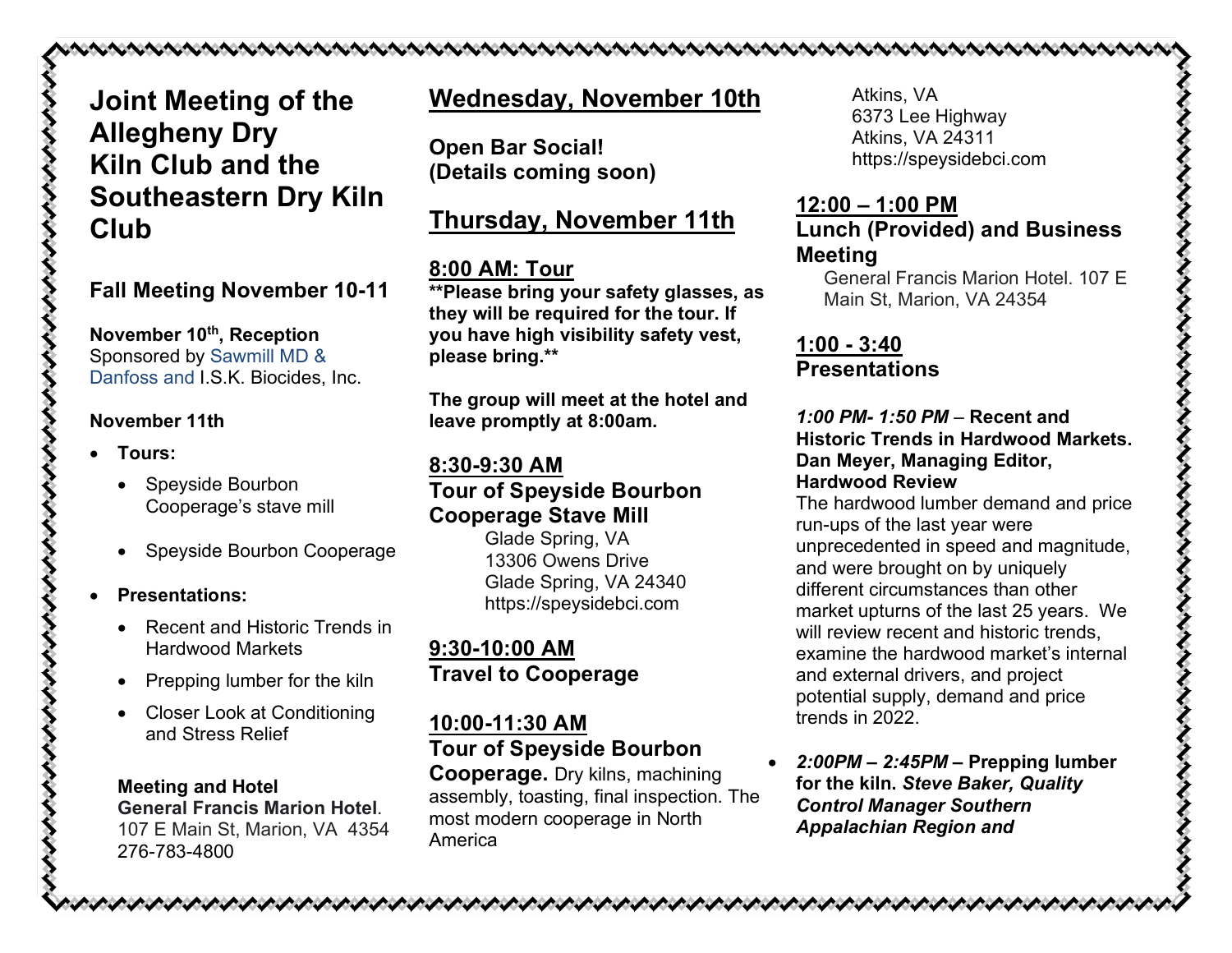# **Joint Meeting of the Allegheny Dry Kiln Club and the Southeastern Dry Kiln Club**

### **Fall Meeting November 10-11**

**November 10th, Reception**  Sponsored by Sawmill MD & Danfoss and I.S.K. Biocides, Inc.

#### **November 11th**

- **Tours:** 
	- Speyside Bourbon Cooperage's stave mill
	- Speyside Bourbon Cooperage

#### • **Presentations:**

- Recent and Historic Trends in Hardwood Markets
- Prepping lumber for the kiln
- Closer Look at Conditioning and Stress Relief

## **Meeting and Hotel**

**General Francis Marion Hotel**. 107 E Main St, Marion, VA 4354 276-783-4800

# **Wednesday, November 10th**

**Open Bar Social! (Details coming soon)**

# **Thursday, November 11th**

### **8:00 AM: Tour**

**\*\*Please bring your safety glasses, as they will be required for the tour. If you have high visibility safety vest, please bring.\*\*** 

**The group will meet at the hotel and leave promptly at 8:00am.** 

#### **8:30-9:30 AM**

### **Tour of Speyside Bourbon Cooperage Stave Mill**

Glade Spring, VA 13306 Owens Drive Glade Spring, VA 24340 https://speysidebci.com

### **9:30-10:00 AM Travel to Cooperage**

#### **10:00-11:30 AM Tour of Speyside Bourbon**

**Cooperage.** Dry kilns, machining assembly, toasting, final inspection. The most modern cooperage in North America

Atkins, VA 6373 Lee Highway Atkins, VA 24311 https://speysidebci.com

#### **12:00 – 1:00 PM Lunch (Provided) and Business Meeting**

General Francis Marion Hotel. 107 E Main St, Marion, VA 24354

#### **1:00 - 3:40 Presentations**

#### *1:00 PM- 1:50 PM –* **Recent and Historic Trends in Hardwood Markets. Dan Meyer, Managing Editor, Hardwood Review**

The hardwood lumber demand and price run-ups of the last year were unprecedented in speed and magnitude, and were brought on by uniquely different circumstances than other market upturns of the last 25 years. We will review recent and historic trends. examine the hardwood market's internal and external drivers, and project potential supply, demand and price trends in 2022.

• *2:00PM – 2:45PM –* **Prepping lumber for the kiln.** *Steve Baker, Quality Control Manager Southern Appalachian Region and*